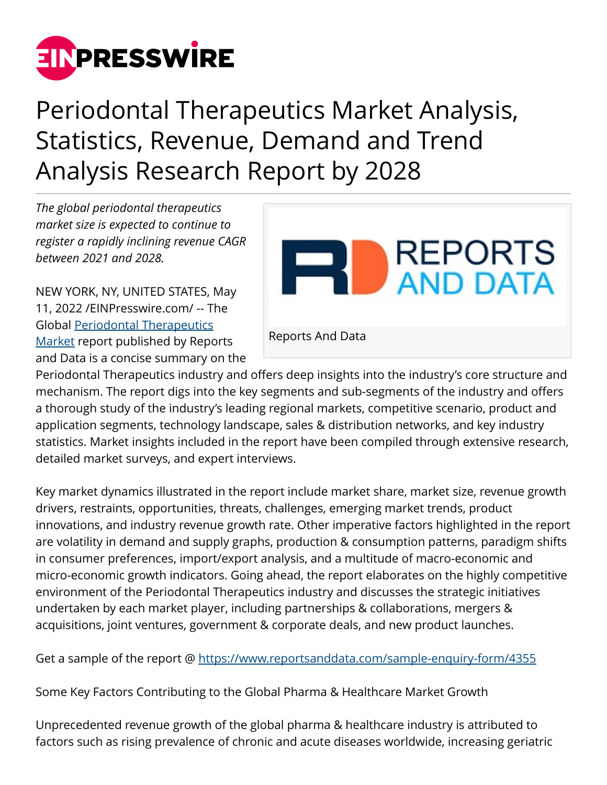

Periodontal Therapeutics Market Analysis, Statistics, Revenue, Demand and Trend Analysis Research Report by 2028

*The global periodontal therapeutics market size is expected to continue to register a rapidly inclining revenue CAGR between 2021 and 2028.*

NEW YORK, NY, UNITED STATES, May 11, 2022 /[EINPresswire.com/](http://www.einpresswire.com) -- The Global [Periodontal Therapeutics](https://www.reportsanddata.com/report-detail/periodontal-therapeutics-market) [Market](https://www.reportsanddata.com/report-detail/periodontal-therapeutics-market) report published by Reports and Data is a concise summary on the



Periodontal Therapeutics industry and offers deep insights into the industry's core structure and mechanism. The report digs into the key segments and sub-segments of the industry and offers a thorough study of the industry's leading regional markets, competitive scenario, product and application segments, technology landscape, sales & distribution networks, and key industry statistics. Market insights included in the report have been compiled through extensive research, detailed market surveys, and expert interviews.

Key market dynamics illustrated in the report include market share, market size, revenue growth drivers, restraints, opportunities, threats, challenges, emerging market trends, product innovations, and industry revenue growth rate. Other imperative factors highlighted in the report are volatility in demand and supply graphs, production & consumption patterns, paradigm shifts in consumer preferences, import/export analysis, and a multitude of macro-economic and micro-economic growth indicators. Going ahead, the report elaborates on the highly competitive environment of the Periodontal Therapeutics industry and discusses the strategic initiatives undertaken by each market player, including partnerships & collaborations, mergers & acquisitions, joint ventures, government & corporate deals, and new product launches.

Get a sample of the report @<https://www.reportsanddata.com/sample-enquiry-form/4355>

Some Key Factors Contributing to the Global Pharma & Healthcare Market Growth

Unprecedented revenue growth of the global pharma & healthcare industry is attributed to factors such as rising prevalence of chronic and acute diseases worldwide, increasing geriatric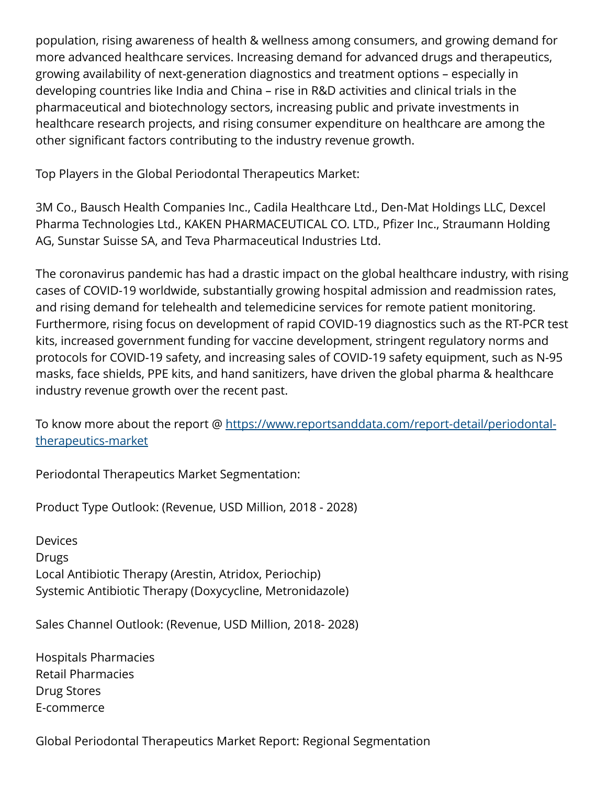population, rising awareness of health & wellness among consumers, and growing demand for more advanced healthcare services. Increasing demand for advanced drugs and therapeutics, growing availability of next-generation diagnostics and treatment options – especially in developing countries like India and China – rise in R&D activities and clinical trials in the pharmaceutical and biotechnology sectors, increasing public and private investments in healthcare research projects, and rising consumer expenditure on healthcare are among the other significant factors contributing to the industry revenue growth.

Top Players in the Global Periodontal Therapeutics Market:

3M Co., Bausch Health Companies Inc., Cadila Healthcare Ltd., Den-Mat Holdings LLC, Dexcel Pharma Technologies Ltd., KAKEN PHARMACEUTICAL CO. LTD., Pfizer Inc., Straumann Holding AG, Sunstar Suisse SA, and Teva Pharmaceutical Industries Ltd.

The coronavirus pandemic has had a drastic impact on the global healthcare industry, with rising cases of COVID-19 worldwide, substantially growing hospital admission and readmission rates, and rising demand for telehealth and telemedicine services for remote patient monitoring. Furthermore, rising focus on development of rapid COVID-19 diagnostics such as the RT-PCR test kits, increased government funding for vaccine development, stringent regulatory norms and protocols for COVID-19 safety, and increasing sales of COVID-19 safety equipment, such as N-95 masks, face shields, PPE kits, and hand sanitizers, have driven the global pharma & healthcare industry revenue growth over the recent past.

To know more about the report @ [https://www.reportsanddata.com/report-detail/periodontal](https://www.reportsanddata.com/report-detail/periodontal-therapeutics-market)[therapeutics-market](https://www.reportsanddata.com/report-detail/periodontal-therapeutics-market)

Periodontal Therapeutics Market Segmentation:

Product Type Outlook: (Revenue, USD Million, 2018 - 2028)

**Devices** Drugs Local Antibiotic Therapy (Arestin, Atridox, Periochip) Systemic Antibiotic Therapy (Doxycycline, Metronidazole)

Sales Channel Outlook: (Revenue, USD Million, 2018- 2028)

Hospitals Pharmacies Retail Pharmacies Drug Stores E-commerce

Global Periodontal Therapeutics Market Report: Regional Segmentation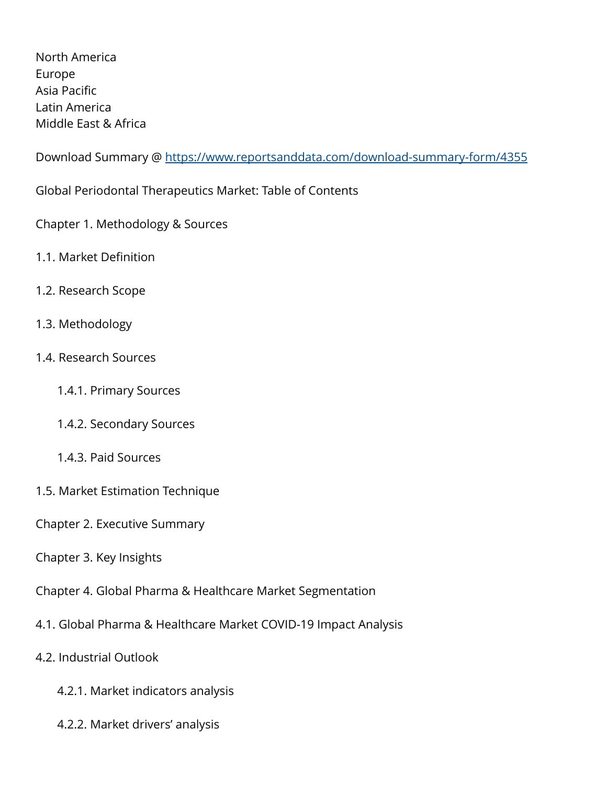North America Europe Asia Pacific Latin America Middle East & Africa

Download Summary @ <https://www.reportsanddata.com/download-summary-form/4355>

Global Periodontal Therapeutics Market: Table of Contents

Chapter 1. Methodology & Sources

- 1.1. Market Definition
- 1.2. Research Scope
- 1.3. Methodology
- 1.4. Research Sources
	- 1.4.1. Primary Sources
	- 1.4.2. Secondary Sources
	- 1.4.3. Paid Sources
- 1.5. Market Estimation Technique
- Chapter 2. Executive Summary
- Chapter 3. Key Insights
- Chapter 4. Global Pharma & Healthcare Market Segmentation
- 4.1. Global Pharma & Healthcare Market COVID-19 Impact Analysis
- 4.2. Industrial Outlook
	- 4.2.1. Market indicators analysis
	- 4.2.2. Market drivers' analysis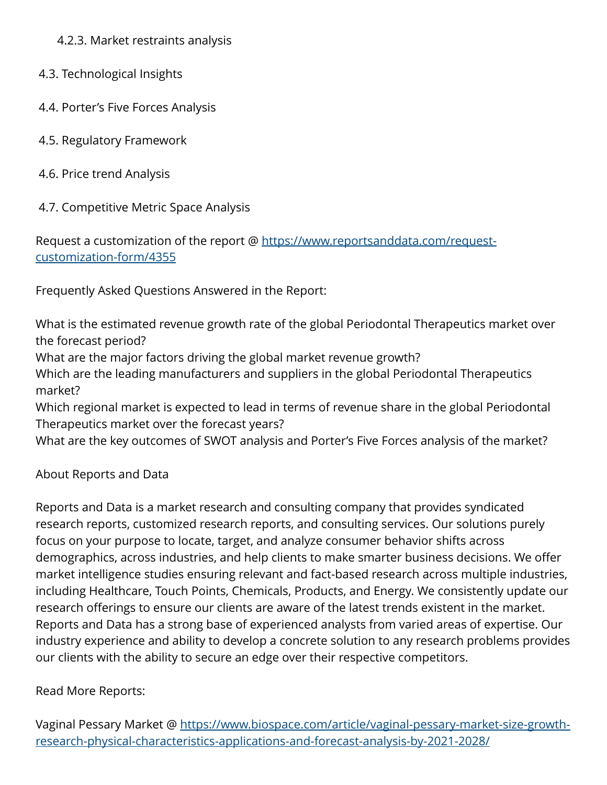4.2.3. Market restraints analysis

- 4.3. Technological Insights
- 4.4. Porter's Five Forces Analysis
- 4.5. Regulatory Framework
- 4.6. Price trend Analysis
- 4.7. Competitive Metric Space Analysis

Request a customization of the report @ [https://www.reportsanddata.com/request](https://www.reportsanddata.com/request-customization-form/4355)[customization-form/4355](https://www.reportsanddata.com/request-customization-form/4355)

Frequently Asked Questions Answered in the Report:

What is the estimated revenue growth rate of the global Periodontal Therapeutics market over the forecast period?

What are the major factors driving the global market revenue growth?

Which are the leading manufacturers and suppliers in the global Periodontal Therapeutics market?

Which regional market is expected to lead in terms of revenue share in the global Periodontal Therapeutics market over the forecast years?

What are the key outcomes of SWOT analysis and Porter's Five Forces analysis of the market?

About Reports and Data

Reports and Data is a market research and consulting company that provides syndicated research reports, customized research reports, and consulting services. Our solutions purely focus on your purpose to locate, target, and analyze consumer behavior shifts across demographics, across industries, and help clients to make smarter business decisions. We offer market intelligence studies ensuring relevant and fact-based research across multiple industries, including Healthcare, Touch Points, Chemicals, Products, and Energy. We consistently update our research offerings to ensure our clients are aware of the latest trends existent in the market. Reports and Data has a strong base of experienced analysts from varied areas of expertise. Our industry experience and ability to develop a concrete solution to any research problems provides our clients with the ability to secure an edge over their respective competitors.

## Read More Reports:

Vaginal Pessary Market @ [https://www.biospace.com/article/vaginal-pessary-market-size-growth](https://www.biospace.com/article/vaginal-pessary-market-size-growth-research-physical-characteristics-applications-and-forecast-analysis-by-2021-2028/)[research-physical-characteristics-applications-and-forecast-analysis-by-2021-2028/](https://www.biospace.com/article/vaginal-pessary-market-size-growth-research-physical-characteristics-applications-and-forecast-analysis-by-2021-2028/)